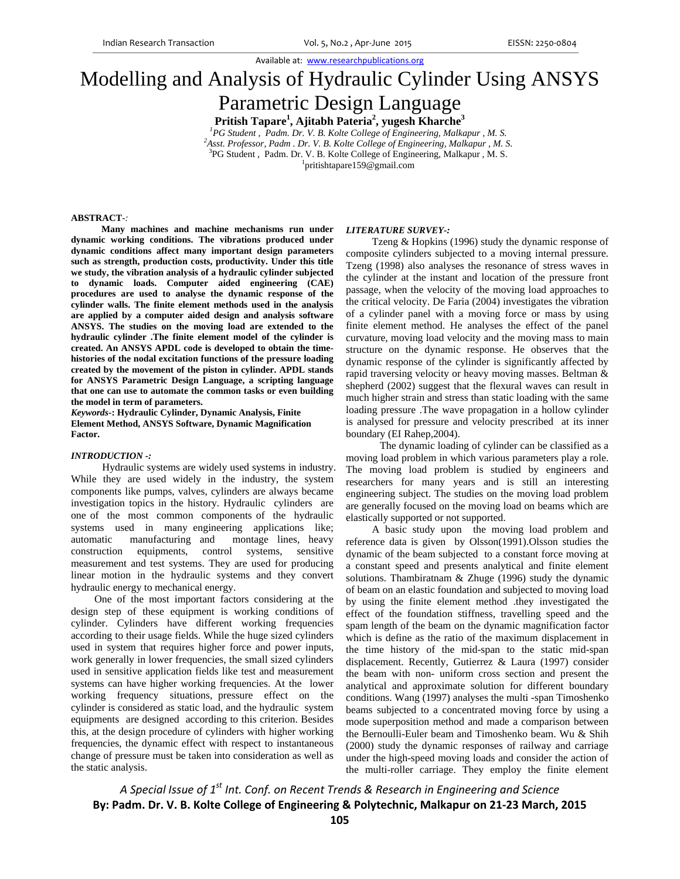# Modelling and Analysis of Hydraulic Cylinder Using ANSYS Parametric Design Language

**Pritish Tapare1 , Ajitabh Pateria2 , yugesh Kharche<sup>3</sup>**

<sup>1</sup> PG Student , Padm. Dr. V. B. Kolte College of Engineering, Malkapur , M. S. *Asst. Professor, Padm . Dr. V. B. Kolte College of Engineering, Malkapur , M. S.*  <sup>3</sup>PG Student, Padm. Dr. V. B. Kolte College of Engineering, Malkapur, M. S. pritishtapare159@gmail.com

#### **ABSTRACT***-:*

 **Many machines and machine mechanisms run under dynamic working conditions. The vibrations produced under dynamic conditions affect many important design parameters such as strength, production costs, productivity. Under this title we study, the vibration analysis of a hydraulic cylinder subjected to dynamic loads. Computer aided engineering (CAE) procedures are used to analyse the dynamic response of the cylinder walls. The finite element methods used in the analysis are applied by a computer aided design and analysis software ANSYS. The studies on the moving load are extended to the hydraulic cylinder .The finite element model of the cylinder is created. An ANSYS APDL code is developed to obtain the timehistories of the nodal excitation functions of the pressure loading created by the movement of the piston in cylinder. APDL stands for ANSYS Parametric Design Language, a scripting language that one can use to automate the common tasks or even building the model in term of parameters.** 

*Keywords***-: Hydraulic Cylinder, Dynamic Analysis, Finite Element Method, ANSYS Software, Dynamic Magnification Factor.** 

## *INTRODUCTION -:*

 Hydraulic systems are widely used systems in industry. While they are used widely in the industry, the system components like pumps, valves, cylinders are always became investigation topics in the history. Hydraulic cylinders are one of the most common components of the hydraulic systems used in many engineering applications like; automatic manufacturing and montage lines, heavy construction equipments, control systems, sensitive measurement and test systems. They are used for producing linear motion in the hydraulic systems and they convert hydraulic energy to mechanical energy.

 One of the most important factors considering at the design step of these equipment is working conditions of cylinder. Cylinders have different working frequencies according to their usage fields. While the huge sized cylinders used in system that requires higher force and power inputs, work generally in lower frequencies, the small sized cylinders used in sensitive application fields like test and measurement systems can have higher working frequencies. At the lower working frequency situations, pressure effect on the cylinder is considered as static load, and the hydraulic system equipmentsare designed according to this criterion. Besides this, at the design procedure of cylinders with higher working frequencies, the dynamic effect with respect to instantaneous change of pressure must be taken into consideration as well as the static analysis.

#### *LITERATURE SURVEY-:*

 Tzeng & Hopkins (1996) study the dynamic response of composite cylinders subjected to a moving internal pressure. Tzeng (1998) also analyses the resonance of stress waves in the cylinder at the instant and location of the pressure front passage, when the velocity of the moving load approaches to the critical velocity. De Faria (2004) investigates the vibration of a cylinder panel with a moving force or mass by using finite element method. He analyses the effect of the panel curvature, moving load velocity and the moving mass to main structure on the dynamic response. He observes that the dynamic response of the cylinder is significantly affected by rapid traversing velocity or heavy moving masses. Beltman & shepherd (2002) suggest that the flexural waves can result in much higher strain and stress than static loading with the same loading pressure .The wave propagation in a hollow cylinder is analysed for pressure and velocity prescribed at its inner boundary (EI Rahep,2004).

 The dynamic loading of cylinder can be classified as a moving load problem in which various parameters play a role. The moving load problem is studied by engineers and researchers for many years and is still an interesting engineering subject. The studies on the moving load problem are generally focused on the moving load on beams which are elastically supported or not supported.

 A basic study upon the moving load problem and reference data is given by Olsson(1991).Olsson studies the dynamic of the beam subjected to a constant force moving at a constant speed and presents analytical and finite element solutions. Thambiratnam & Zhuge (1996) study the dynamic of beam on an elastic foundation and subjected to moving load by using the finite element method .they investigated the effect of the foundation stiffness, travelling speed and the spam length of the beam on the dynamic magnification factor which is define as the ratio of the maximum displacement in the time history of the mid-span to the static mid-span displacement. Recently, Gutierrez & Laura (1997) consider the beam with non- uniform cross section and present the analytical and approximate solution for different boundary conditions. Wang (1997) analyses the multi -span Timoshenko beams subjected to a concentrated moving force by using a mode superposition method and made a comparison between the Bernoulli-Euler beam and Timoshenko beam. Wu & Shih (2000) study the dynamic responses of railway and carriage under the high-speed moving loads and consider the action of the multi-roller carriage. They employ the finite element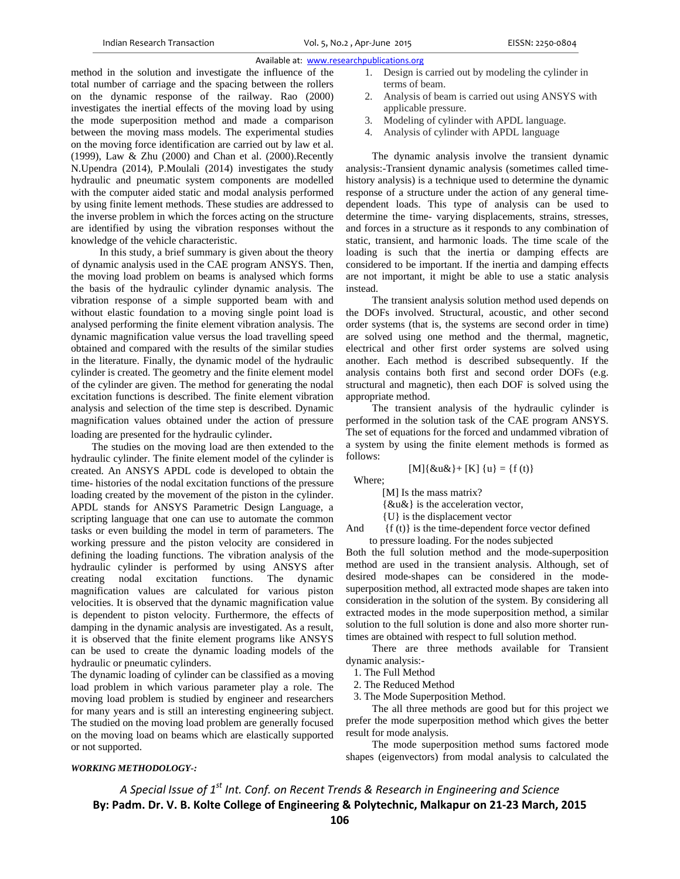method in the solution and investigate the influence of the total number of carriage and the spacing between the rollers on the dynamic response of the railway. Rao (2000) investigates the inertial effects of the moving load by using the mode superposition method and made a comparison between the moving mass models. The experimental studies on the moving force identification are carried out by law et al. (1999), Law & Zhu (2000) and Chan et al. (2000).Recently N.Upendra (2014), P.Moulali (2014) investigates the study hydraulic and pneumatic system components are modelled with the computer aided static and modal analysis performed by using finite lement methods. These studies are addressed to the inverse problem in which the forces acting on the structure are identified by using the vibration responses without the knowledge of the vehicle characteristic.

 In this study, a brief summary is given about the theory of dynamic analysis used in the CAE program ANSYS. Then, the moving load problem on beams is analysed which forms the basis of the hydraulic cylinder dynamic analysis. The vibration response of a simple supported beam with and without elastic foundation to a moving single point load is analysed performing the finite element vibration analysis. The dynamic magnification value versus the load travelling speed obtained and compared with the results of the similar studies in the literature. Finally, the dynamic model of the hydraulic cylinder is created. The geometry and the finite element model of the cylinder are given. The method for generating the nodal excitation functions is described. The finite element vibration analysis and selection of the time step is described. Dynamic magnification values obtained under the action of pressure loading are presented for the hydraulic cylinder. The studies on the moving load are then extended to the

hydraulic cylinder. The finite element model of the cylinder is created. An ANSYS APDL code is developed to obtain the time- histories of the nodal excitation functions of the pressure loading created by the movement of the piston in the cylinder. APDL stands for ANSYS Parametric Design Language, a scripting language that one can use to automate the common tasks or even building the model in term of parameters. The working pressure and the piston velocity are considered in defining the loading functions. The vibration analysis of the hydraulic cylinder is performed by using ANSYS after creating nodal excitation functions. The dynamic magnification values are calculated for various piston velocities. It is observed that the dynamic magnification value is dependent to piston velocity. Furthermore, the effects of damping in the dynamic analysis are investigated. As a result, it is observed that the finite element programs like ANSYS can be used to create the dynamic loading models of the hydraulic or pneumatic cylinders.

The dynamic loading of cylinder can be classified as a moving load problem in which various parameter play a role. The moving load problem is studied by engineer and researchers for many years and is still an interesting engineering subject. The studied on the moving load problem are generally focused on the moving load on beams which are elastically supported or not supported.

- 1. Design is carried out by modeling the cylinder in terms of beam.
- 2. Analysis of beam is carried out using ANSYS with applicable pressure.
- 3. Modeling of cylinder with APDL language.
- 4. Analysis of cylinder with APDL language

 The dynamic analysis involve the transient dynamic analysis:-Transient dynamic analysis (sometimes called timehistory analysis) is a technique used to determine the dynamic response of a structure under the action of any general timedependent loads. This type of analysis can be used to determine the time- varying displacements, strains, stresses, and forces in a structure as it responds to any combination of static, transient, and harmonic loads. The time scale of the loading is such that the inertia or damping effects are considered to be important. If the inertia and damping effects are not important, it might be able to use a static analysis instead.

 The transient analysis solution method used depends on the DOFs involved. Structural, acoustic, and other second order systems (that is, the systems are second order in time) are solved using one method and the thermal, magnetic, electrical and other first order systems are solved using another. Each method is described subsequently. If the analysis contains both first and second order DOFs (e.g. structural and magnetic), then each DOF is solved using the appropriate method.

 The transient analysis of the hydraulic cylinder is performed in the solution task of the CAE program ANSYS. The set of equations for the forced and undammed vibration of a system by using the finite element methods is formed as follows:

$$
[M]{\&u\&}+[K]{u} = {f(t)}
$$

Where;

[M] Is the mass matrix?

{&u&} is the acceleration vector,

{U} is the displacement vector

And  ${f (t)}$  is the time-dependent force vector defined to pressure loading. For the nodes subjected

Both the full solution method and the mode-superposition method are used in the transient analysis. Although, set of desired mode-shapes can be considered in the modesuperposition method, all extracted mode shapes are taken into consideration in the solution of the system. By considering all extracted modes in the mode superposition method, a similar solution to the full solution is done and also more shorter runtimes are obtained with respect to full solution method.

 There are three methods available for Transient dynamic analysis:-

1. The Full Method

2. The Reduced Method

3. The Mode Superposition Method.

 The all three methods are good but for this project we prefer the mode superposition method which gives the better result for mode analysis.

 The mode superposition method sums factored mode shapes (eigenvectors) from modal analysis to calculated the

# *WORKING METHODOLOGY-:*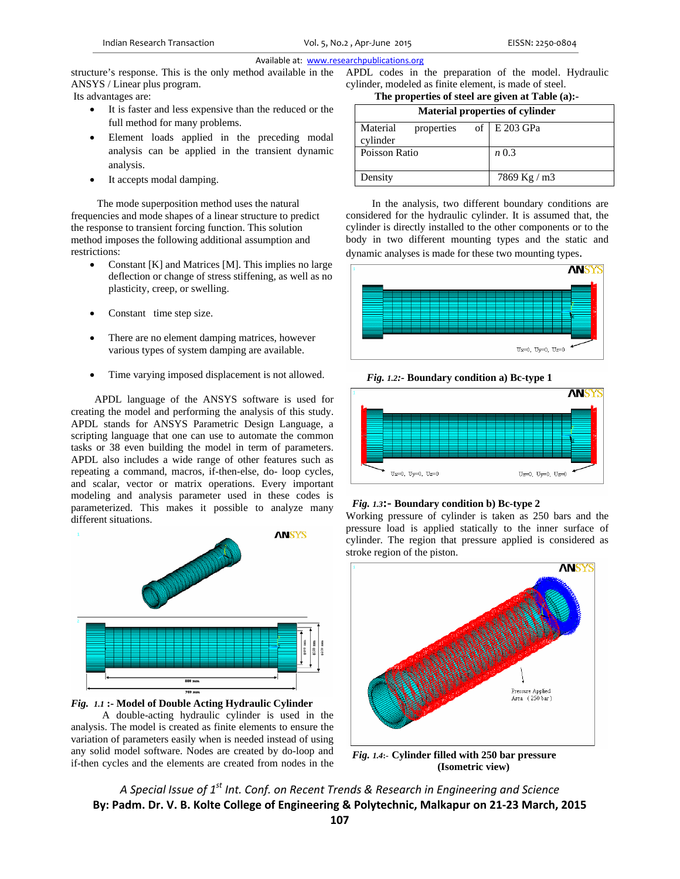structure's response. This is the only method available in the ANSYS / Linear plus program. Its advantages are:

- It is faster and less expensive than the reduced or the full method for many problems.
- Element loads applied in the preceding modal analysis can be applied in the transient dynamic analysis.
- It accepts modal damping.

 The mode superposition method uses the natural frequencies and mode shapes of a linear structure to predict the response to transient forcing function. This solution method imposes the following additional assumption and restrictions:

- Constant [K] and Matrices [M]. This implies no large deflection or change of stress stiffening, as well as no plasticity, creep, or swelling.
- Constant time step size.
- There are no element damping matrices, however various types of system damping are available.
- Time varying imposed displacement is not allowed.

 APDL language of the ANSYS software is used for creating the model and performing the analysis of this study. APDL stands for ANSYS Parametric Design Language, a scripting language that one can use to automate the common tasks or 38 even building the model in term of parameters. APDL also includes a wide range of other features such as repeating a command, macros, if-then-else, do- loop cycles, and scalar, vector or matrix operations. Every important modeling and analysis parameter used in these codes is parameterized. This makes it possible to analyze many different situations.





 A double-acting hydraulic cylinder is used in the analysis. The model is created as finite elements to ensure the variation of parameters easily when is needed instead of using any solid model software. Nodes are created by do-loop and if-then cycles and the elements are created from nodes in the APDL codes in the preparation of the model. Hydraulic cylinder, modeled as finite element, is made of steel.

# **The properties of steel are given at Table (a):-**

| <b>Material properties of cylinder</b> |                |  |
|----------------------------------------|----------------|--|
| Material<br>properties<br>cylinder     | of $E$ 203 GPa |  |
| Poisson Ratio                          | n 0.3          |  |
| Density                                | 7869 Kg / m3   |  |

 In the analysis, two different boundary conditions are considered for the hydraulic cylinder. It is assumed that, the cylinder is directly installed to the other components or to the body in two different mounting types and the static and dynamic analyses is made for these two mounting types.







# *Fig. 1.3***:- Boundary condition b) Bc-type 2**

Working pressure of cylinder is taken as 250 bars and the pressure load is applied statically to the inner surface of cylinder. The region that pressure applied is considered as stroke region of the piston.



*Fig. 1.4***:- Cylinder filled with 250 bar pressure (Isometric view)**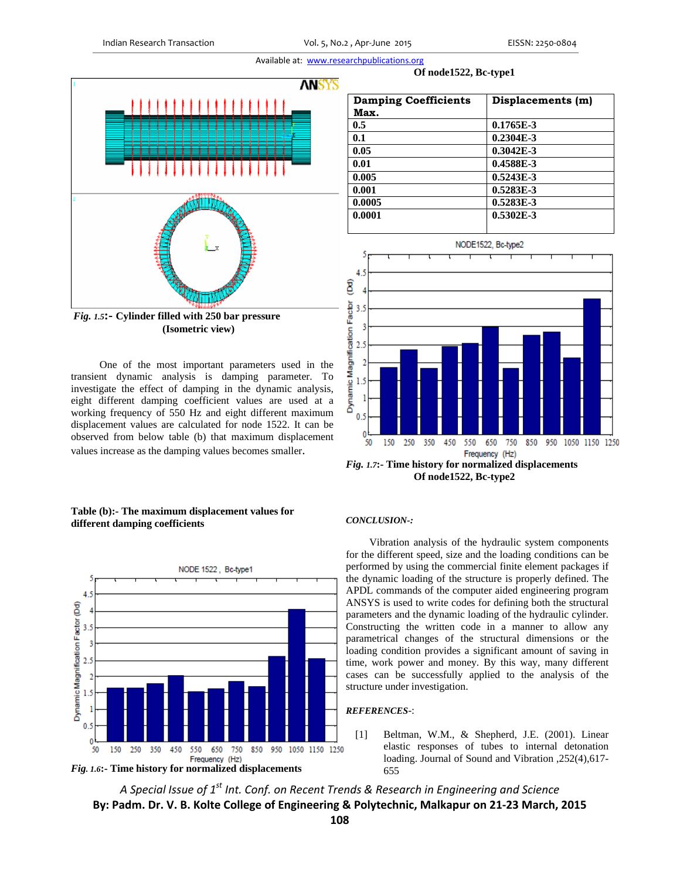

**(Isometric view)** 

 One of the most important parameters used in the transient dynamic analysis is damping parameter. To investigate the effect of damping in the dynamic analysis, eight different damping coefficient values are used at a working frequency of 550 Hz and eight different maximum displacement values are calculated for node 1522. It can be observed from below table (b) that maximum displacement values increase as the damping values becomes smaller.

# **Table (b):- The maximum displacement values for different damping coefficients**





| <b>Damping Coefficients</b> | Displacements (m) |
|-----------------------------|-------------------|
| Max.                        |                   |
| 0.5                         | $0.1765E-3$       |

 **Of node1522, Bc-type1** 

| Max.   |             |
|--------|-------------|
| 0.5    | $0.1765E-3$ |
| 0.1    | $0.2304E-3$ |
| 0.05   | $0.3042E-3$ |
| 0.01   | 0.4588E-3   |
| 0.005  | $0.5243E-3$ |
| 0.001  | 0.5283E-3   |
| 0.0005 | 0.5283E-3   |
| 0.0001 | $0.5302E-3$ |
|        |             |



*Fig. 1.7***:- Time history for normalized displacements Of node1522, Bc-type2** 

## *CONCLUSION-:*

Vibration analysis of the hydraulic system components for the different speed, size and the loading conditions can be performed by using the commercial finite element packages if the dynamic loading of the structure is properly defined. The APDL commands of the computer aided engineering program ANSYS is used to write codes for defining both the structural parameters and the dynamic loading of the hydraulic cylinder. Constructing the written code in a manner to allow any parametrical changes of the structural dimensions or the loading condition provides a significant amount of saving in time, work power and money. By this way, many different cases can be successfully applied to the analysis of the structure under investigation.

## *REFERENCES*-:

[1] Beltman, W.M., & Shepherd, J.E. (2001). Linear elastic responses of tubes to internal detonation loading. Journal of Sound and Vibration ,252(4),617- 655